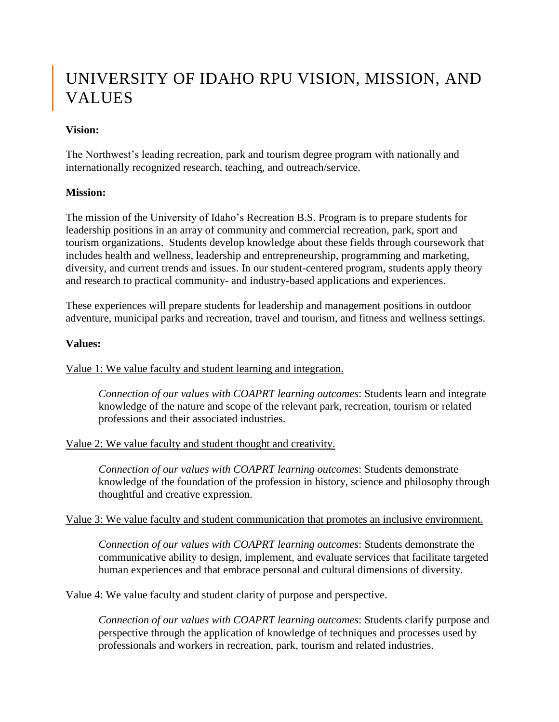# UNIVERSITY OF IDAHO RPU VISION, MISSION, AND VALUES

## **Vision:**

The Northwest's leading recreation, park and tourism degree program with nationally and internationally recognized research, teaching, and outreach/service.

## **Mission:**

The mission of the University of Idaho's Recreation B.S. Program is to prepare students for leadership positions in an array of community and commercial recreation, park, sport and tourism organizations. Students develop knowledge about these fields through coursework that includes health and wellness, leadership and entrepreneurship, programming and marketing, diversity, and current trends and issues. In our student-centered program, students apply theory and research to practical community- and industry-based applications and experiences.

These experiences will prepare students for leadership and management positions in outdoor adventure, municipal parks and recreation, travel and tourism, and fitness and wellness settings.

## **Values:**

Value 1: We value faculty and student learning and integration.

*Connection of our values with COAPRT learning outcomes*: Students learn and integrate knowledge of the nature and scope of the relevant park, recreation, tourism or related professions and their associated industries.

### Value 2: We value faculty and student thought and creativity.

*Connection of our values with COAPRT learning outcomes*: Students demonstrate knowledge of the foundation of the profession in history, science and philosophy through thoughtful and creative expression.

### Value 3: We value faculty and student communication that promotes an inclusive environment.

*Connection of our values with COAPRT learning outcomes*: Students demonstrate the communicative ability to design, implement, and evaluate services that facilitate targeted human experiences and that embrace personal and cultural dimensions of diversity.

### Value 4: We value faculty and student clarity of purpose and perspective.

*Connection of our values with COAPRT learning outcomes*: Students clarify purpose and perspective through the application of knowledge of techniques and processes used by professionals and workers in recreation, park, tourism and related industries.